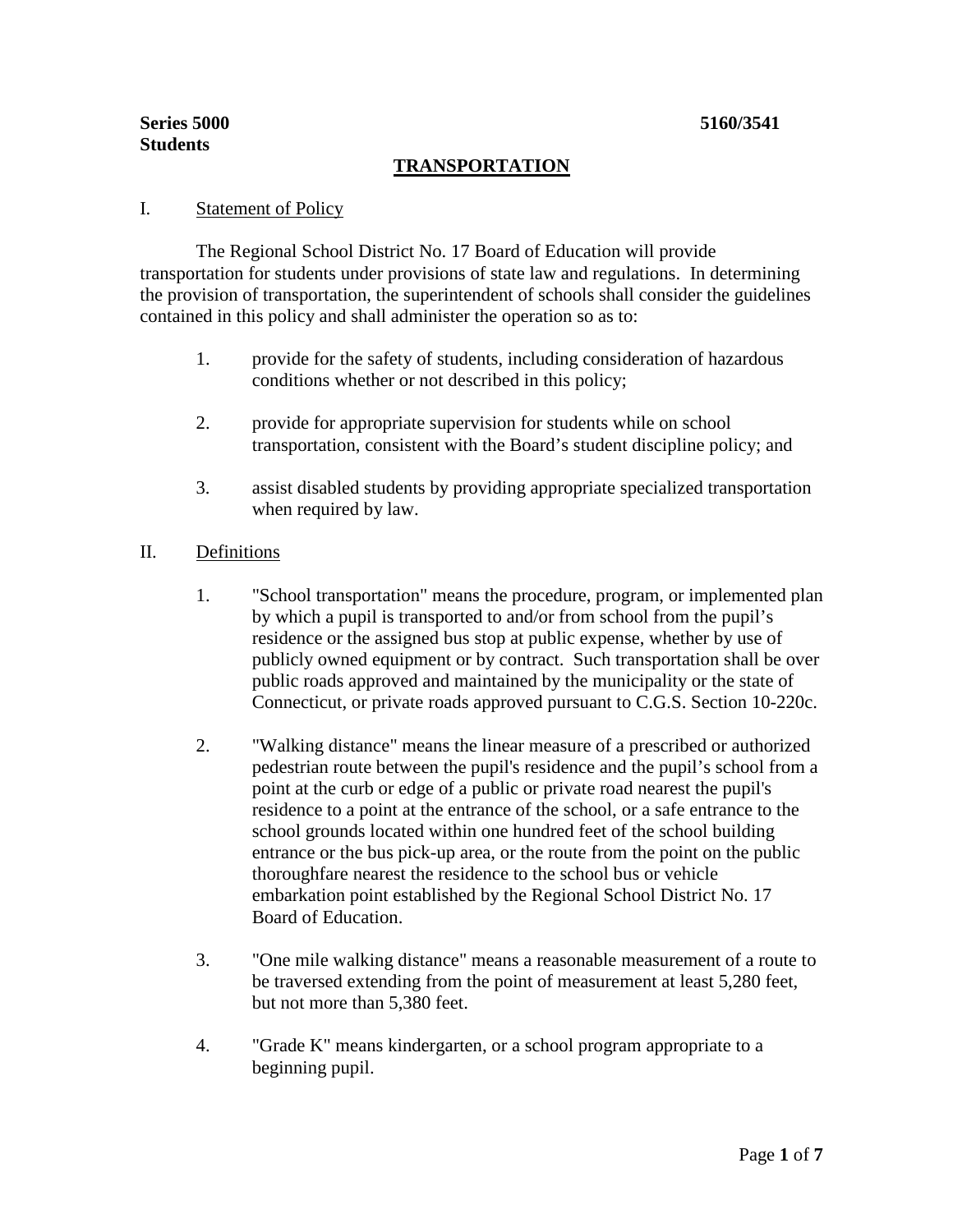# **TRANSPORTATION**

### I. Statement of Policy

The Regional School District No. 17 Board of Education will provide transportation for students under provisions of state law and regulations. In determining the provision of transportation, the superintendent of schools shall consider the guidelines contained in this policy and shall administer the operation so as to:

- 1. provide for the safety of students, including consideration of hazardous conditions whether or not described in this policy;
- 2. provide for appropriate supervision for students while on school transportation, consistent with the Board's student discipline policy; and
- 3. assist disabled students by providing appropriate specialized transportation when required by law.

### II. Definitions

- 1. "School transportation" means the procedure, program, or implemented plan by which a pupil is transported to and/or from school from the pupil's residence or the assigned bus stop at public expense, whether by use of publicly owned equipment or by contract. Such transportation shall be over public roads approved and maintained by the municipality or the state of Connecticut, or private roads approved pursuant to C.G.S. Section 10-220c.
- 2. "Walking distance" means the linear measure of a prescribed or authorized pedestrian route between the pupil's residence and the pupil's school from a point at the curb or edge of a public or private road nearest the pupil's residence to a point at the entrance of the school, or a safe entrance to the school grounds located within one hundred feet of the school building entrance or the bus pick-up area, or the route from the point on the public thoroughfare nearest the residence to the school bus or vehicle embarkation point established by the Regional School District No. 17 Board of Education.
- 3. "One mile walking distance" means a reasonable measurement of a route to be traversed extending from the point of measurement at least 5,280 feet, but not more than 5,380 feet.
- 4. "Grade K" means kindergarten, or a school program appropriate to a beginning pupil.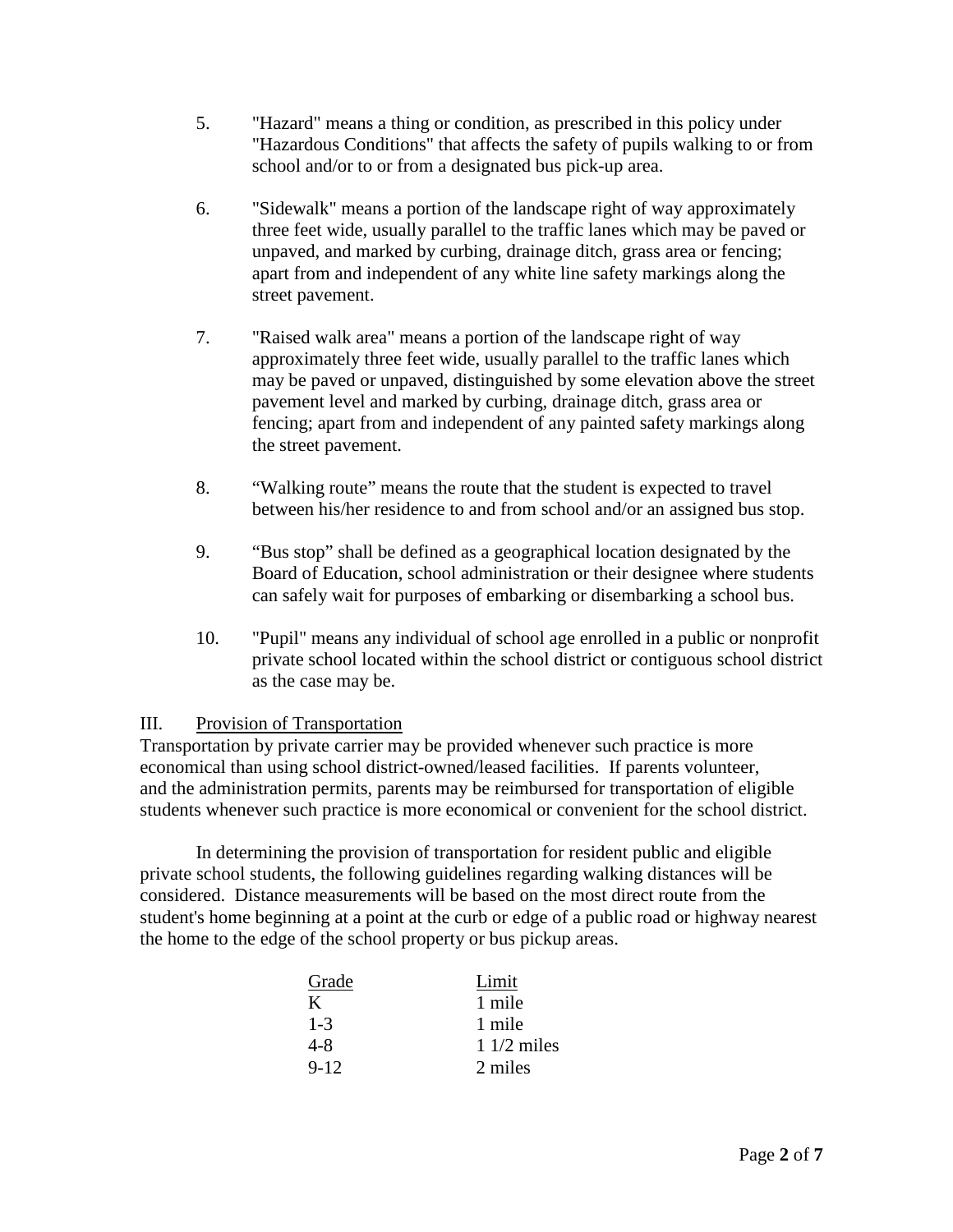- 5. "Hazard" means a thing or condition, as prescribed in this policy under "Hazardous Conditions" that affects the safety of pupils walking to or from school and/or to or from a designated bus pick-up area.
- 6. "Sidewalk" means a portion of the landscape right of way approximately three feet wide, usually parallel to the traffic lanes which may be paved or unpaved, and marked by curbing, drainage ditch, grass area or fencing; apart from and independent of any white line safety markings along the street pavement.
- 7. "Raised walk area" means a portion of the landscape right of way approximately three feet wide, usually parallel to the traffic lanes which may be paved or unpaved, distinguished by some elevation above the street pavement level and marked by curbing, drainage ditch, grass area or fencing; apart from and independent of any painted safety markings along the street pavement.
- 8. "Walking route" means the route that the student is expected to travel between his/her residence to and from school and/or an assigned bus stop.
- 9. "Bus stop" shall be defined as a geographical location designated by the Board of Education, school administration or their designee where students can safely wait for purposes of embarking or disembarking a school bus.
- 10. "Pupil" means any individual of school age enrolled in a public or nonprofit private school located within the school district or contiguous school district as the case may be.

# III. Provision of Transportation

Transportation by private carrier may be provided whenever such practice is more economical than using school district-owned/leased facilities. If parents volunteer, and the administration permits, parents may be reimbursed for transportation of eligible students whenever such practice is more economical or convenient for the school district.

In determining the provision of transportation for resident public and eligible private school students, the following guidelines regarding walking distances will be considered. Distance measurements will be based on the most direct route from the student's home beginning at a point at the curb or edge of a public road or highway nearest the home to the edge of the school property or bus pickup areas.

| Grade    | Limit        |
|----------|--------------|
| K        | 1 mile       |
| $1 - 3$  | 1 mile       |
| $4 - 8$  | $11/2$ miles |
| $9 - 12$ | 2 miles      |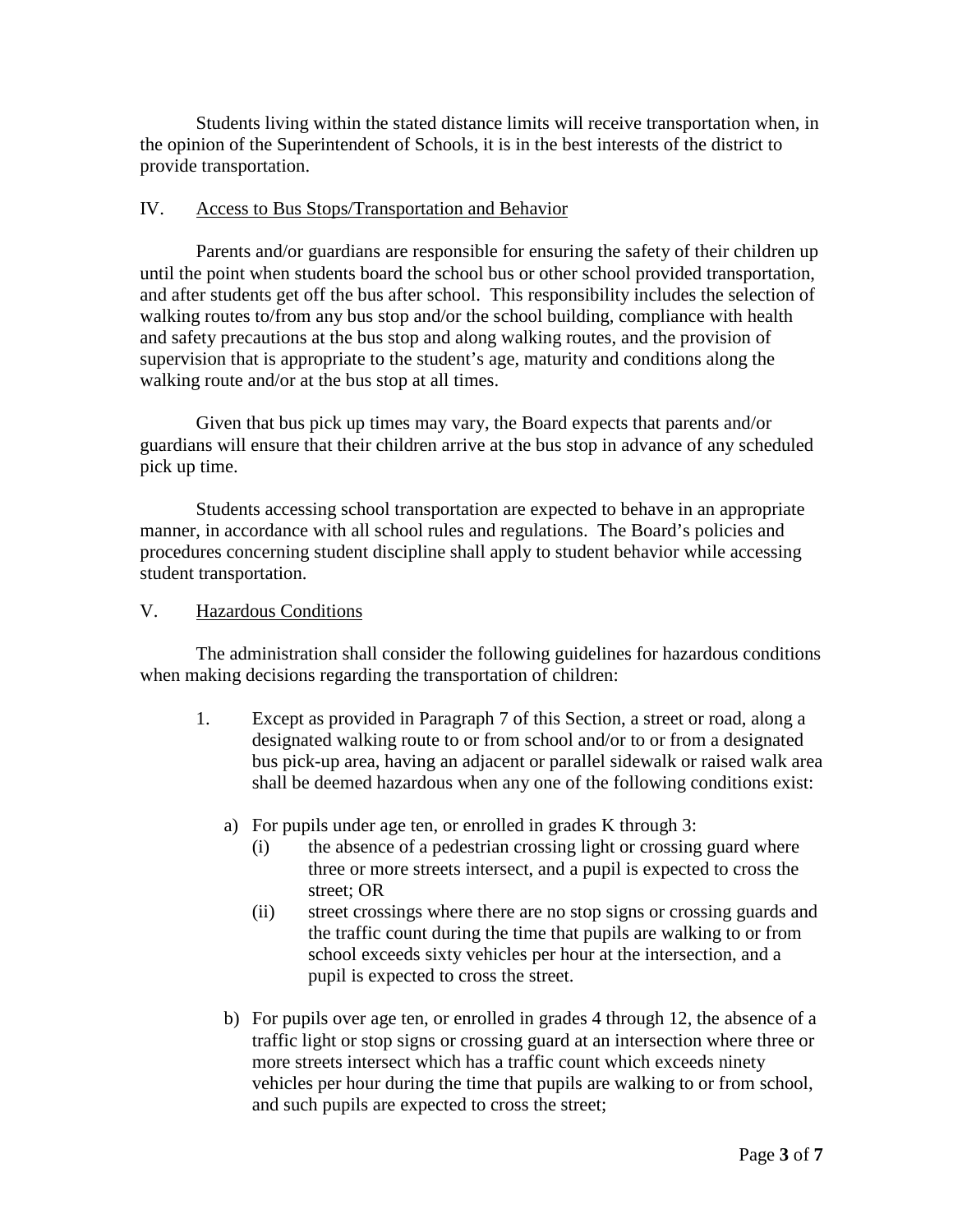Students living within the stated distance limits will receive transportation when, in the opinion of the Superintendent of Schools, it is in the best interests of the district to provide transportation.

### IV. Access to Bus Stops/Transportation and Behavior

Parents and/or guardians are responsible for ensuring the safety of their children up until the point when students board the school bus or other school provided transportation, and after students get off the bus after school. This responsibility includes the selection of walking routes to/from any bus stop and/or the school building, compliance with health and safety precautions at the bus stop and along walking routes, and the provision of supervision that is appropriate to the student's age, maturity and conditions along the walking route and/or at the bus stop at all times.

Given that bus pick up times may vary, the Board expects that parents and/or guardians will ensure that their children arrive at the bus stop in advance of any scheduled pick up time.

Students accessing school transportation are expected to behave in an appropriate manner, in accordance with all school rules and regulations. The Board's policies and procedures concerning student discipline shall apply to student behavior while accessing student transportation.

## V. Hazardous Conditions

The administration shall consider the following guidelines for hazardous conditions when making decisions regarding the transportation of children:

- 1. Except as provided in Paragraph 7 of this Section, a street or road, along a designated walking route to or from school and/or to or from a designated bus pick-up area, having an adjacent or parallel sidewalk or raised walk area shall be deemed hazardous when any one of the following conditions exist:
	- a) For pupils under age ten, or enrolled in grades K through 3:
		- (i) the absence of a pedestrian crossing light or crossing guard where three or more streets intersect, and a pupil is expected to cross the street; OR
		- (ii) street crossings where there are no stop signs or crossing guards and the traffic count during the time that pupils are walking to or from school exceeds sixty vehicles per hour at the intersection, and a pupil is expected to cross the street.
	- b) For pupils over age ten, or enrolled in grades 4 through 12, the absence of a traffic light or stop signs or crossing guard at an intersection where three or more streets intersect which has a traffic count which exceeds ninety vehicles per hour during the time that pupils are walking to or from school, and such pupils are expected to cross the street;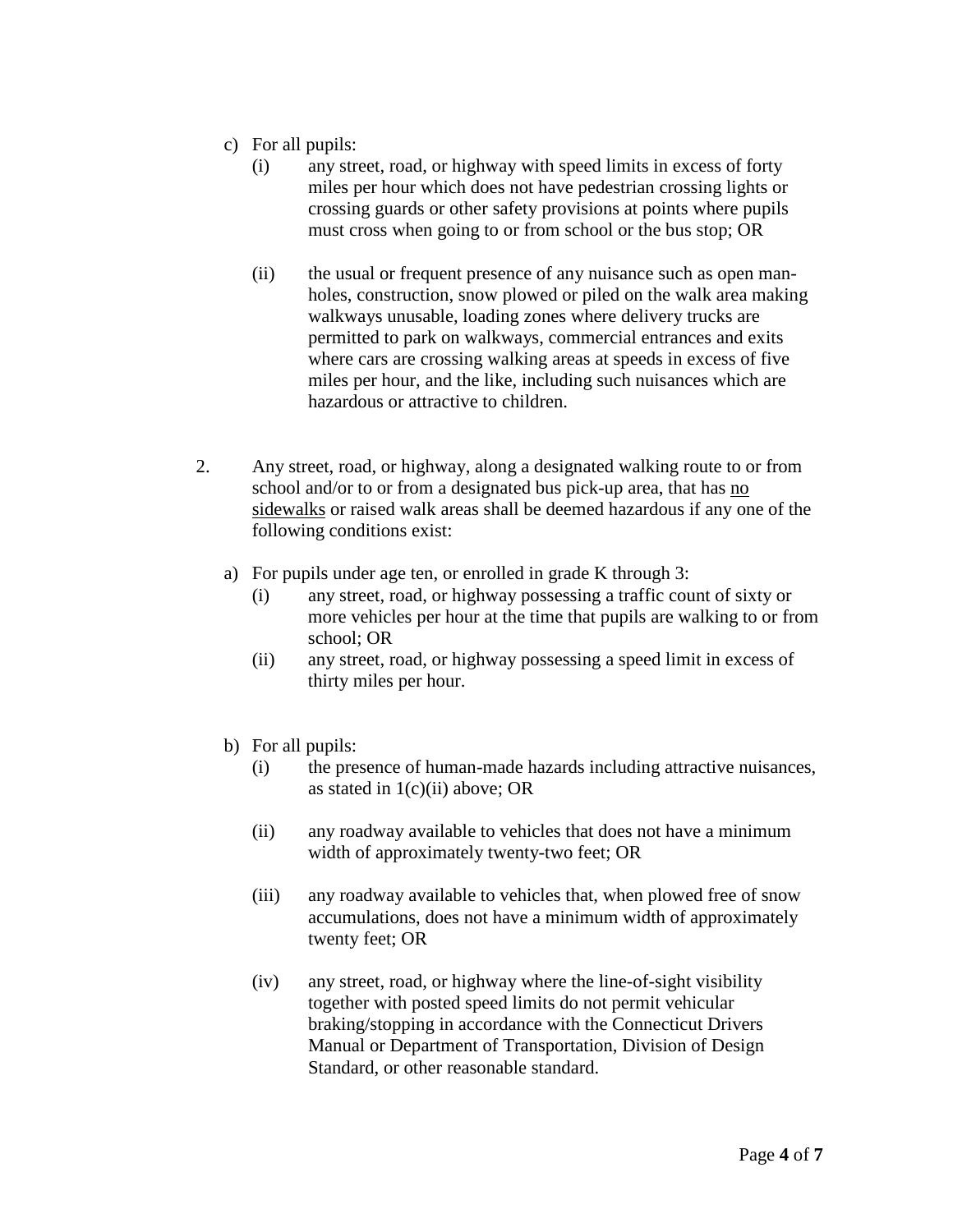- c) For all pupils:
	- (i) any street, road, or highway with speed limits in excess of forty miles per hour which does not have pedestrian crossing lights or crossing guards or other safety provisions at points where pupils must cross when going to or from school or the bus stop; OR
	- (ii) the usual or frequent presence of any nuisance such as open manholes, construction, snow plowed or piled on the walk area making walkways unusable, loading zones where delivery trucks are permitted to park on walkways, commercial entrances and exits where cars are crossing walking areas at speeds in excess of five miles per hour, and the like, including such nuisances which are hazardous or attractive to children.
- 2. Any street, road, or highway, along a designated walking route to or from school and/or to or from a designated bus pick-up area, that has no sidewalks or raised walk areas shall be deemed hazardous if any one of the following conditions exist:
	- a) For pupils under age ten, or enrolled in grade K through 3:
		- (i) any street, road, or highway possessing a traffic count of sixty or more vehicles per hour at the time that pupils are walking to or from school; OR
		- (ii) any street, road, or highway possessing a speed limit in excess of thirty miles per hour.
	- b) For all pupils:
		- (i) the presence of human-made hazards including attractive nuisances, as stated in  $1(c)(ii)$  above; OR
		- (ii) any roadway available to vehicles that does not have a minimum width of approximately twenty-two feet; OR
		- (iii) any roadway available to vehicles that, when plowed free of snow accumulations, does not have a minimum width of approximately twenty feet; OR
		- (iv) any street, road, or highway where the line-of-sight visibility together with posted speed limits do not permit vehicular braking/stopping in accordance with the Connecticut Drivers Manual or Department of Transportation, Division of Design Standard, or other reasonable standard.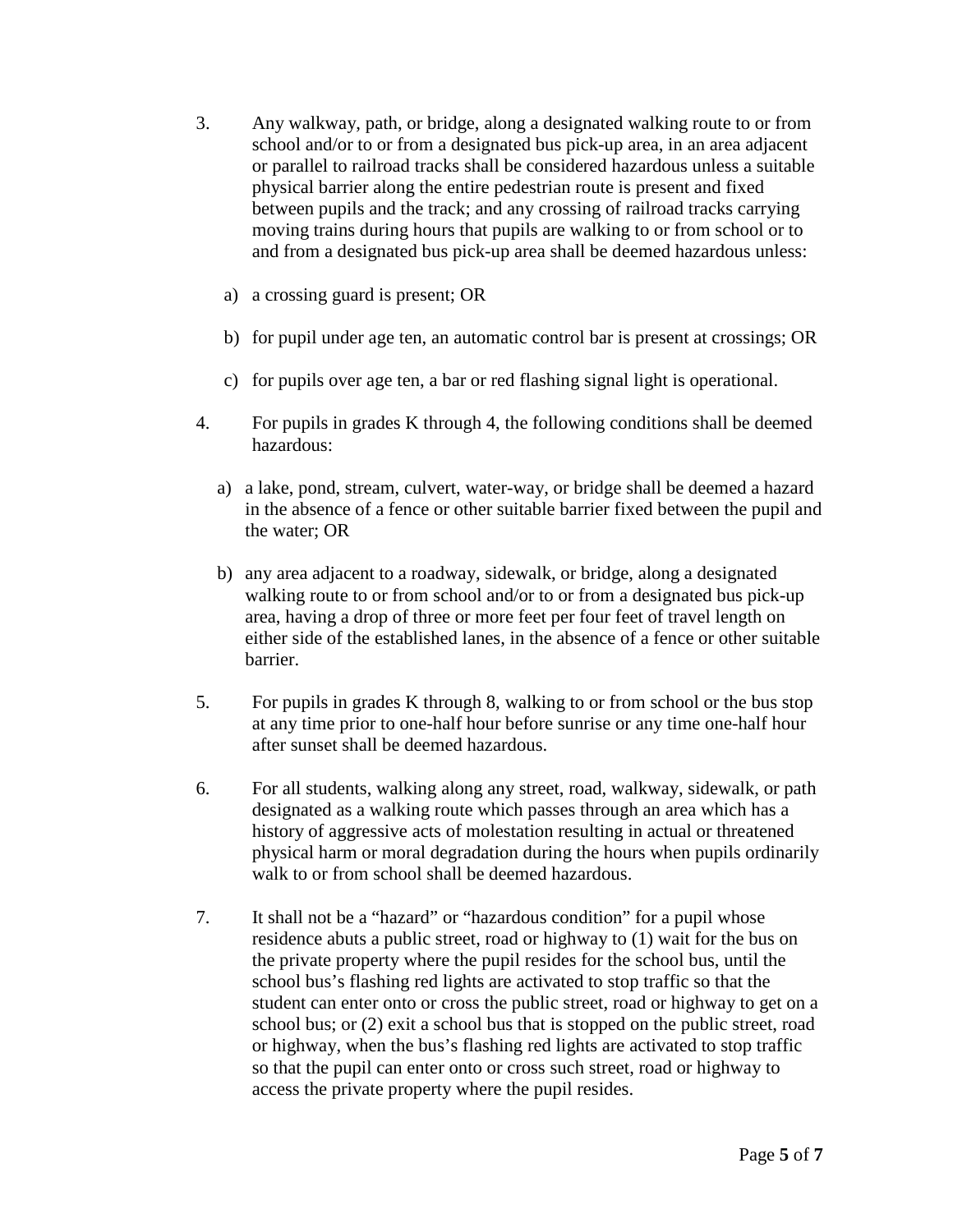- 3. Any walkway, path, or bridge, along a designated walking route to or from school and/or to or from a designated bus pick-up area, in an area adjacent or parallel to railroad tracks shall be considered hazardous unless a suitable physical barrier along the entire pedestrian route is present and fixed between pupils and the track; and any crossing of railroad tracks carrying moving trains during hours that pupils are walking to or from school or to and from a designated bus pick-up area shall be deemed hazardous unless:
	- a) a crossing guard is present; OR
	- b) for pupil under age ten, an automatic control bar is present at crossings; OR
	- c) for pupils over age ten, a bar or red flashing signal light is operational.
- 4. For pupils in grades K through 4, the following conditions shall be deemed hazardous:
	- a) a lake, pond, stream, culvert, water-way, or bridge shall be deemed a hazard in the absence of a fence or other suitable barrier fixed between the pupil and the water; OR
	- b) any area adjacent to a roadway, sidewalk, or bridge, along a designated walking route to or from school and/or to or from a designated bus pick-up area, having a drop of three or more feet per four feet of travel length on either side of the established lanes, in the absence of a fence or other suitable barrier.
- 5. For pupils in grades K through 8, walking to or from school or the bus stop at any time prior to one-half hour before sunrise or any time one-half hour after sunset shall be deemed hazardous.
- 6. For all students, walking along any street, road, walkway, sidewalk, or path designated as a walking route which passes through an area which has a history of aggressive acts of molestation resulting in actual or threatened physical harm or moral degradation during the hours when pupils ordinarily walk to or from school shall be deemed hazardous.
- 7. It shall not be a "hazard" or "hazardous condition" for a pupil whose residence abuts a public street, road or highway to (1) wait for the bus on the private property where the pupil resides for the school bus, until the school bus's flashing red lights are activated to stop traffic so that the student can enter onto or cross the public street, road or highway to get on a school bus; or (2) exit a school bus that is stopped on the public street, road or highway, when the bus's flashing red lights are activated to stop traffic so that the pupil can enter onto or cross such street, road or highway to access the private property where the pupil resides.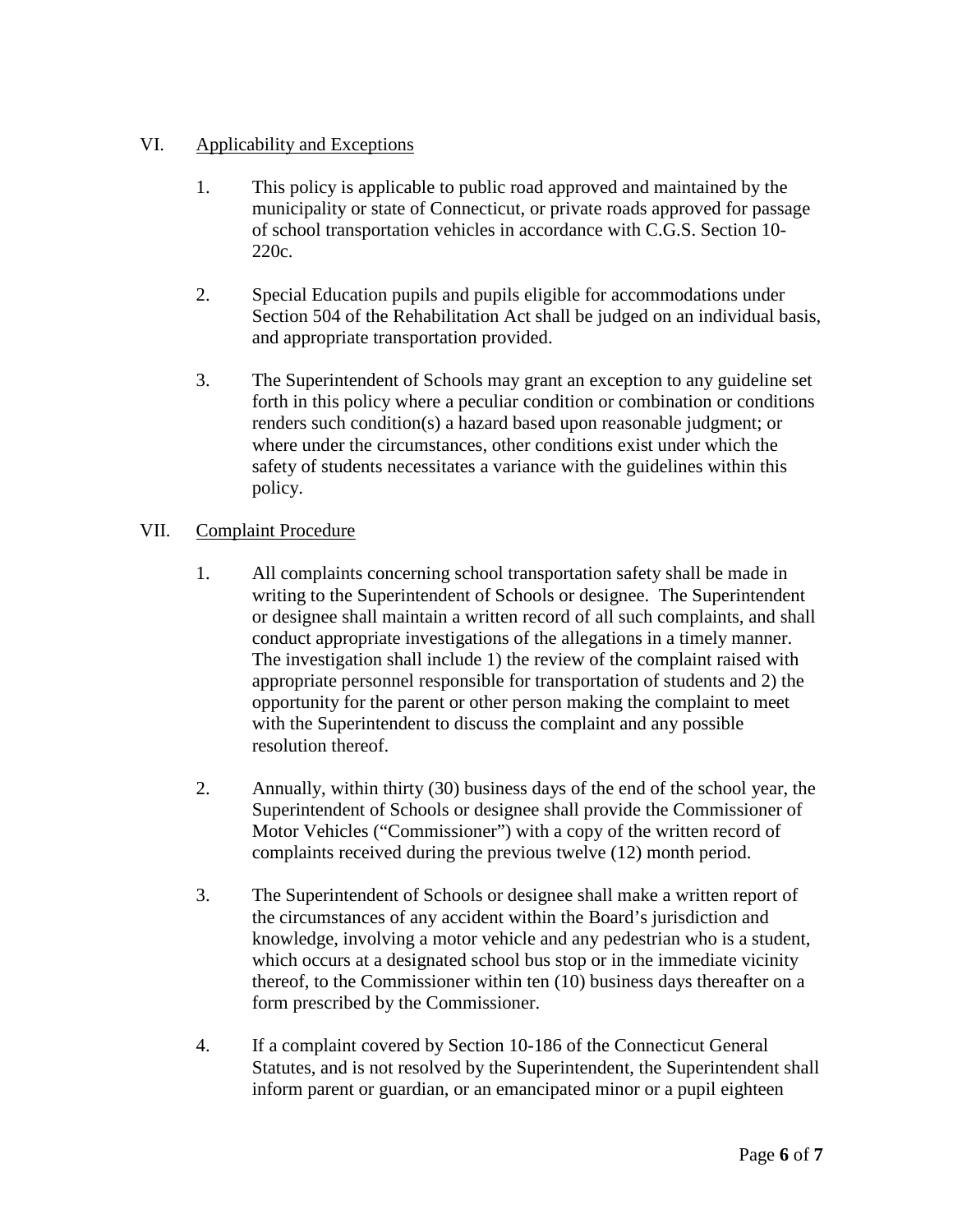# VI. Applicability and Exceptions

- 1. This policy is applicable to public road approved and maintained by the municipality or state of Connecticut, or private roads approved for passage of school transportation vehicles in accordance with C.G.S. Section 10- 220c.
- 2. Special Education pupils and pupils eligible for accommodations under Section 504 of the Rehabilitation Act shall be judged on an individual basis, and appropriate transportation provided.
- 3. The Superintendent of Schools may grant an exception to any guideline set forth in this policy where a peculiar condition or combination or conditions renders such condition(s) a hazard based upon reasonable judgment; or where under the circumstances, other conditions exist under which the safety of students necessitates a variance with the guidelines within this policy.

# VII. Complaint Procedure

- 1. All complaints concerning school transportation safety shall be made in writing to the Superintendent of Schools or designee. The Superintendent or designee shall maintain a written record of all such complaints, and shall conduct appropriate investigations of the allegations in a timely manner. The investigation shall include 1) the review of the complaint raised with appropriate personnel responsible for transportation of students and 2) the opportunity for the parent or other person making the complaint to meet with the Superintendent to discuss the complaint and any possible resolution thereof.
- 2. Annually, within thirty (30) business days of the end of the school year, the Superintendent of Schools or designee shall provide the Commissioner of Motor Vehicles ("Commissioner") with a copy of the written record of complaints received during the previous twelve (12) month period.
- 3. The Superintendent of Schools or designee shall make a written report of the circumstances of any accident within the Board's jurisdiction and knowledge, involving a motor vehicle and any pedestrian who is a student, which occurs at a designated school bus stop or in the immediate vicinity thereof, to the Commissioner within ten (10) business days thereafter on a form prescribed by the Commissioner.
- 4. If a complaint covered by Section 10-186 of the Connecticut General Statutes, and is not resolved by the Superintendent, the Superintendent shall inform parent or guardian, or an emancipated minor or a pupil eighteen